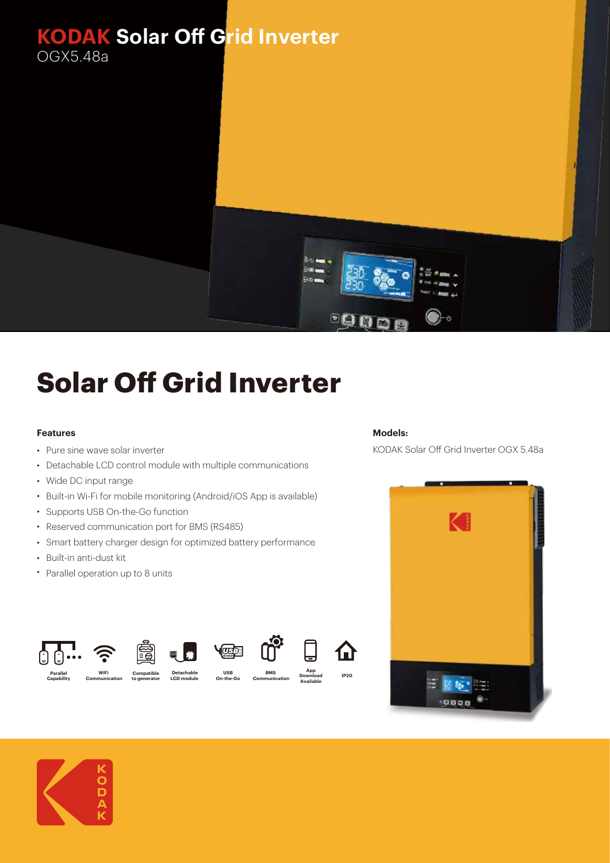

## **Solar Off Grid Inverter**

## **Features**

- Pure sine wave solar inverter
- Detachable LCD control module with multiple communications
- Wide DC input range
- Built-in Wi-Fi for mobile monitoring (Android/iOS App is available)
- Supports USB On-the-Go function
- Reserved communication port for BMS (RS485)
- Smart battery charger design for optimized battery performance

**Detachable LCD module** 

00

**Compatible to generator**

**USB On-the-Go**

**Voorbook** 

- Built-in anti-dust kit
- Parallel operation up to 8 units

**WiFi Communication**

## **Models:**

**IP20**

A)

**App Download Available**

**BMS Communication** KODAK Solar Off Grid Inverter OGX 5.48a





**Parallel Capability**